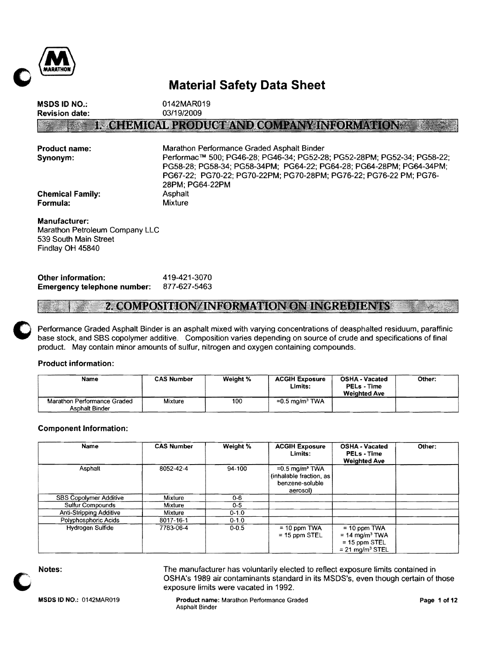

# **Material Safety Data Sheet**

| <b>MSDS ID NO.:</b>   | 0142MAR019                                                |
|-----------------------|-----------------------------------------------------------|
| <b>Revision date:</b> | 03/19/2009                                                |
|                       | <b>SEE AND CONTRACT PRODUCT AND COMPANY INTORMATIONS:</b> |

| <b>Product name:</b><br>Synonym:                       | Marathon Performance Graded Asphalt Binder<br>Performac™ 500; PG46-28; PG46-34; PG52-28; PG52-28PM; PG52-34; PG58-22;<br>PG58-28; PG58-34; PG58-34PM; PG64-22; PG64-28; PG64-28PM; PG64-34PM;<br>PG67-22; PG70-22; PG70-22PM; PG70-28PM; PG76-22; PG76-22 PM; PG76-<br>28PM: PG64-22PM |
|--------------------------------------------------------|----------------------------------------------------------------------------------------------------------------------------------------------------------------------------------------------------------------------------------------------------------------------------------------|
| <b>Chemical Family:</b><br>Formula:                    | Asphalt<br><b>Mixture</b>                                                                                                                                                                                                                                                              |
| <b>Manufacturer:</b><br>Marathon Petroleum Company LLC |                                                                                                                                                                                                                                                                                        |

539 South Main Street Findlay OH 45840

| Other information:                 | 419-421-3070 |
|------------------------------------|--------------|
| <b>Emergency telephone number:</b> | 877-627-5463 |

## 2. COMPOSITION/INFORMATION ON INGREDIENTS

Performance Graded Asphalt Binder is an asphalt mixed with varying concentrations of deasphalted residuum, paraffinic base stock, and SBS copolymer additive. Composition varies depending on source of crude and specifications of final product. May contain minor amounts of sulfur, nitrogen and oxygen containing compounds.

## Product information:

| Name                                          | <b>CAS Number</b> | Weight % | <b>ACGIH Exposure</b><br>Limits: | <b>OSHA - Vacated</b><br><b>PELs</b> - Time<br><b>Weighted Ave</b> | Other: |
|-----------------------------------------------|-------------------|----------|----------------------------------|--------------------------------------------------------------------|--------|
| Marathon Performance Graded<br>Asphalt Binder | Mixture           | 100      | $=0.5$ mg/m <sup>3</sup> TWA     |                                                                    |        |

## Component Information:

| Name                    | <b>CAS Number</b> | Weight %  | <b>ACGIH Exposure</b><br>Limits:                                                       | <b>OSHA - Vacated</b><br><b>PELs</b> - Time<br><b>Weighted Ave</b>                                 | Other: |
|-------------------------|-------------------|-----------|----------------------------------------------------------------------------------------|----------------------------------------------------------------------------------------------------|--------|
| Asphalt                 | 8052-42-4         | 94-100    | $=0.5$ mg/m <sup>3</sup> TWA<br>(inhalable fraction, as<br>benzene-soluble<br>aerosol) |                                                                                                    |        |
| SBS Copolymer Additive  | <b>Mixture</b>    | $0-6$     |                                                                                        |                                                                                                    |        |
| <b>Sulfur Compounds</b> | Mixture           | $0 - 5$   |                                                                                        |                                                                                                    |        |
| Anti-Stripping Additive | Mixture           | $0 - 1.0$ |                                                                                        |                                                                                                    |        |
| Polyphosphoric Acids    | 8017-16-1         | $0 - 1.0$ |                                                                                        |                                                                                                    |        |
| Hydrogen Sulfide        | 7783-06-4         | $0 - 0.5$ | $= 10$ ppm TWA<br>$= 15$ ppm STEL                                                      | $= 10$ ppm TWA<br>$= 14$ mg/m <sup>3</sup> TWA<br>$= 15$ ppm STEL<br>$= 21$ mg/m <sup>3</sup> STEL |        |

Notes: The manufacturer has voluntarily elected to reflect exposure limits contained in OSHA's 1989 air contaminants standard in its MSDS's, even though certain of those exposure limits were vacated in 1992.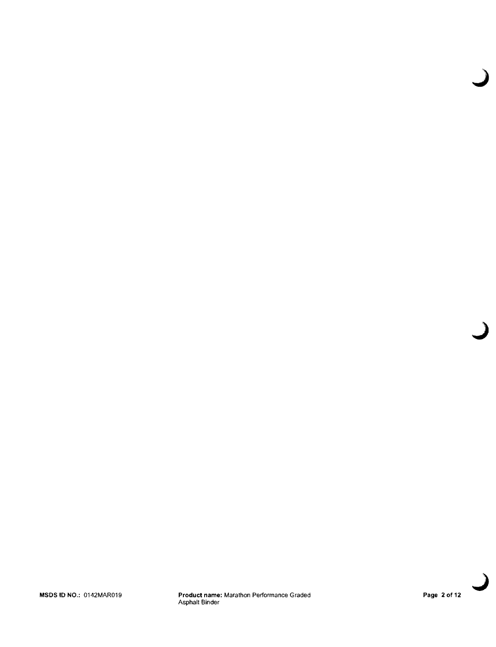

J

J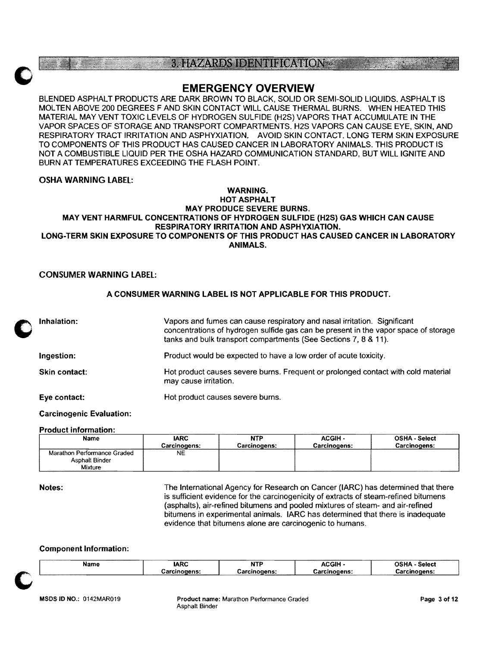## **EMERGENCY OVERVIEW**

**3. HAZARDS IDENTIFICATION202** 

BLENDED ASPHALT PRODUCTS ARE DARK BROWN TO BLACK. SOLID OR SEMI-SOLID LIQUIDS. ASPHALT IS MOLTEN ABOVE 200 DEGREES F AND SKIN CONTACT WILL CAUSE THERMAL BURNS. WHEN HEATED THIS MATERIAL MAY VENT TOXIC LEVELS OF HYDROGEN SULFIDE (H2S) VAPORS THAT ACCUMULATE IN THE VAPOR SPACES OF STORAGE AND TRANSPORT COMPARTMENTS. H2S VAPORS CAN CAUSE EYE, SKIN, AND RESPIRATORY TRACT IRRITATION AND ASPHYXIATION. AVOID SKIN CONTACT. LONG TERM SKIN EXPOSURE TO COMPONENTS OF THIS PRODUCT HAS CAUSED CANCER IN LABORATORY ANIMALS. THIS PRODUCT IS NOT A COMBUSTIBLE LIQUID PER THE OSHA HAZARD COMMUNICATION STANDARD. BUT WILL IGNITE AND BURN AT TEMPERATURES EXCEEDING THE FLASH POINT.

## OSHA WARNING LABEl:

### WARNING. HOT ASPHALT MAY PRODUCE SEVERE BURNS. MAY VENT HARMFUL CONCENTRATIONS OF HYDROGEN SULFIDE (H2S) GAS WHICH CAN CAUSE RESPIRATORY IRRITATION AND ASPHYXIATION. LONG-TERM SKIN EXPOSURE TO COMPONENTS OF THIS PRODUCT HAS CAUSED CANCER IN LABORATORY ANIMALS.

## CONSUMER WARNING LABEL:

## A CONSUMER WARNING LABEL IS NOT APPLICABLE FOR THIS PRODUCT.

| Inhalation:   | Vapors and fumes can cause respiratory and nasal irritation. Significant<br>concentrations of hydrogen sulfide gas can be present in the vapor space of storage<br>tanks and bulk transport compartments (See Sections 7, 8 & 11). |
|---------------|------------------------------------------------------------------------------------------------------------------------------------------------------------------------------------------------------------------------------------|
| Ingestion:    | Product would be expected to have a low order of acute toxicity.                                                                                                                                                                   |
| Skin contact: | Hot product causes severe burns. Frequent or prolonged contact with cold material<br>may cause irritation.                                                                                                                         |
| Eye contact:  | Hot product causes severe burns.                                                                                                                                                                                                   |

## Carcinogenic Evaluation:

#### Product information·

| Name                        | <b>IARC</b>  | <b>NTP</b>   | <b>ACGIH-</b> | <b>OSHA - Select</b> |
|-----------------------------|--------------|--------------|---------------|----------------------|
|                             | Carcinogens: | Carcinogens: | Carcinogens:  | <b>Carcinogens:</b>  |
| Marathon Performance Graded | NE           |              |               |                      |
| Asphalt Binder              |              |              |               |                      |
| <b>Mixture</b>              |              |              |               |                      |

Notes:

The International Agency for Research on Cancer (IARC) has determined that there is sufficient evidence for the carcinogenicity of extracts of steam-refined bitumens (asphalts). air-refined bitumens and pooled mixtures of steam- and air-refined bitumens in experimental animals. IARC has determined that there is inadequate evidence that bitumens alone are carcinogenic to humans.

## Component Information:

| Name | n Pole.<br>AKC | -----<br>. .<br>. | <b>AAU</b> | w<br>seleci |
|------|----------------|-------------------|------------|-------------|
|      | .<br>          |                   | ---<br>.   | iens:       |
|      |                |                   |            |             |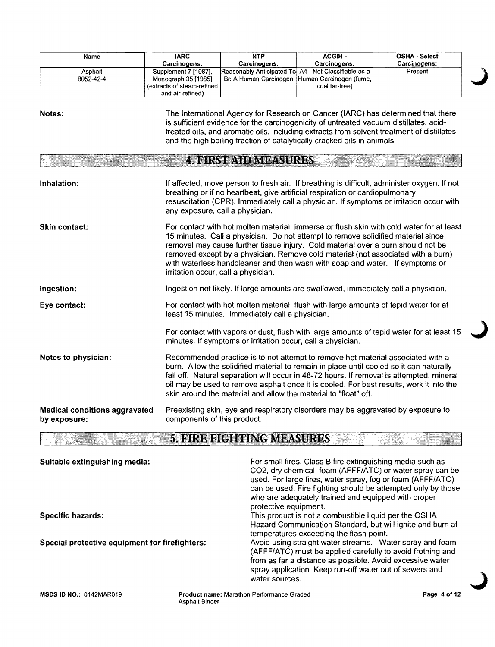| Name                 | <b>IARC</b><br>Carcinogens:                                                 | <b>NTP</b><br>Carcinogens: | <b>ACGIH-</b><br>Carcinogens:                                                                                               | <b>OSHA - Select</b><br>Carcinogens: |  |
|----------------------|-----------------------------------------------------------------------------|----------------------------|-----------------------------------------------------------------------------------------------------------------------------|--------------------------------------|--|
| Asphalt<br>8052-42-4 | Supplement 7 [1987].<br>Monograph 35 [1985]<br>l (extracts of steam-refined |                            | Reasonably Anticipated To A4 - Not Classifiable as a<br>Be A Human Carcinogen   Human Carcinogen (fume,  <br>coal tar-free) | Present                              |  |
|                      | and air-refined)                                                            |                            |                                                                                                                             |                                      |  |

Notes: The International Agency for Research on Cancer (IARC) has determined that there is sufficient evidence for the carcinogenicity of untreated vacuum distillates, acidtreated oils, and aromatic oils, including extracts from solvent treatment of distillates and the high boiling fraction of catalytically cracked oils in animals.

## 4. EIRST AUDIOIEASURES

| <b>Medical conditions aggravated</b><br>by exposure: | Preexisting skin, eye and respiratory disorders may be aggravated by exposure to<br>components of this product.                                                                                                                                                                                                                                                                                                                                                             |
|------------------------------------------------------|-----------------------------------------------------------------------------------------------------------------------------------------------------------------------------------------------------------------------------------------------------------------------------------------------------------------------------------------------------------------------------------------------------------------------------------------------------------------------------|
| Notes to physician:                                  | Recommended practice is to not attempt to remove hot material associated with a<br>burn. Allow the solidified material to remain in place until cooled so it can naturally<br>fall off. Natural separation will occur in 48-72 hours. If removal is attempted, mineral<br>oil may be used to remove asphalt once it is cooled. For best results, work it into the<br>skin around the material and allow the material to "float" off.                                        |
|                                                      | For contact with vapors or dust, flush with large amounts of tepid water for at least 15<br>minutes. If symptoms or irritation occur, call a physician.                                                                                                                                                                                                                                                                                                                     |
| Eye contact:                                         | For contact with hot molten material, flush with large amounts of tepid water for at<br>least 15 minutes. Immediately call a physician.                                                                                                                                                                                                                                                                                                                                     |
| Ingestion:                                           | Ingestion not likely. If large amounts are swallowed, immediately call a physician.                                                                                                                                                                                                                                                                                                                                                                                         |
| Skin contact:                                        | For contact with hot molten material, immerse or flush skin with cold water for at least<br>15 minutes. Call a physician. Do not attempt to remove solidified material since<br>removal may cause further tissue injury. Cold material over a burn should not be<br>removed except by a physician. Remove cold material (not associated with a burn)<br>with waterless handcleaner and then wash with soap and water. If symptoms or<br>irritation occur, call a physician. |
| Inhalation:                                          | If affected, move person to fresh air. If breathing is difficult, administer oxygen. If not<br>breathing or if no heartbeat, give artificial respiration or cardiopulmonary<br>resuscitation (CPR). Immediately call a physician. If symptoms or irritation occur with<br>any exposure, call a physician.                                                                                                                                                                   |
|                                                      |                                                                                                                                                                                                                                                                                                                                                                                                                                                                             |

**5. FIRE FIGHTING MEASURES** 

| Suitable extinguishing media:                  | For small fires, Class B fire extinguishing media such as<br>CO2, dry chemical, foam (AFFF/ATC) or water spray can be<br>used. For large fires, water spray, fog or foam (AFFF/ATC)<br>can be used. Fire fighting should be attempted only by those<br>who are adequately trained and equipped with proper<br>protective equipment. |  |
|------------------------------------------------|-------------------------------------------------------------------------------------------------------------------------------------------------------------------------------------------------------------------------------------------------------------------------------------------------------------------------------------|--|
| Specific hazards:                              | This product is not a combustible liquid per the OSHA<br>Hazard Communication Standard, but will ignite and burn at<br>temperatures exceeding the flash point.                                                                                                                                                                      |  |
| Special protective equipment for firefighters: | Avoid using straight water streams. Water spray and foam<br>(AFFF/ATC) must be applied carefully to avoid frothing and<br>from as far a distance as possible. Avoid excessive water<br>spray application. Keep run-off water out of sewers and<br>water sources.                                                                    |  |

MSDS ID NO.: 0142MAR019 Product name: Marathon Performance Graded Page 4 of 12 Asphalt Binder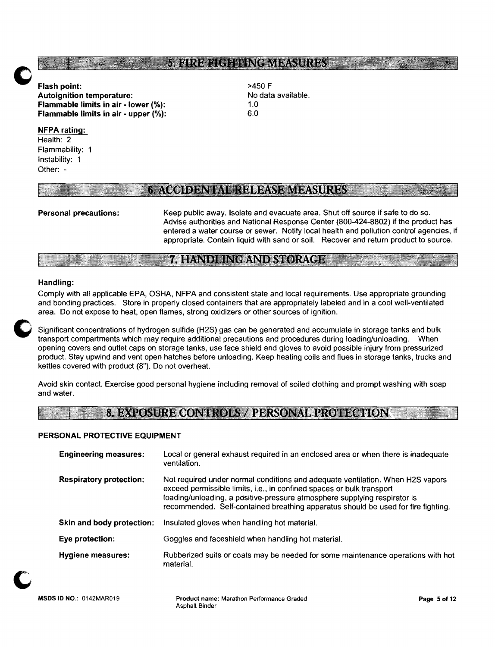## 5. PIRE RICEPING MEASURES

## Flash point:

33.33

Autoignition temperature: Flammable limits in air - lower (%): Flammable limits in air - upper (%):

>450 F No data available. 1.0 6.0

### NFPA rating:

Health: 2 Flammability: 1 Instability: 1 Other: -

## **6. ACCIDENTAL RELEASE MEASURES**

Personal precautions: Keep public away. Isolate and evacuate area. Shut off source if safe to do so. Advise authorities and National Response Center (800-424-8802) if the product has entered a water course or sewer. Notify local health and pollution control agencies, if appropriate. Contain liquid with sand or soil. Recover and return product to source.

## **7. HANDLING AND STORAGE**

### Handling:

Comply with all applicable EPA, OSHA. NFPA and consistent state and local requirements. Use appropriate grounding and bonding practices. Store in properly closed containers that are appropriately labeled and in a cool well-ventilated area. Do not expose to heat, open flames, strong oxidizers or other sources of ignition.

Significant concentrations of hydrogen sulfide (H2S) gas can be generated and accumulate in storage tanks and bulk transport compartments which may require additional precautions and procedures during loading/unloading. When opening covers and outlet caps on storage tanks, use face shield and gloves to avoid possible injury from pressurized product. Stay upwind and vent open hatches before unloading. Keep heating coils and flues in storage tanks, trucks and kettles covered with product (8"). Do not overheat.

Avoid skin contact. Exercise good personal hygiene including removal of soiled clothing and prompt washing with soap and water.

## **8. EXPOSURE CONTROLS / PERSONAL PROTECTION**

#### PERSONAL PROTECTIVE EQUIPMENT

| <b>Engineering measures:</b>   | Local or general exhaust required in an enclosed area or when there is inadequate<br>ventilation.                                                                                                                                                                                                                         |
|--------------------------------|---------------------------------------------------------------------------------------------------------------------------------------------------------------------------------------------------------------------------------------------------------------------------------------------------------------------------|
| <b>Respiratory protection:</b> | Not required under normal conditions and adequate ventilation. When H2S vapors<br>exceed permissible limits, i.e., in confined spaces or bulk transport<br>loading/unloading, a positive-pressure atmosphere supplying respirator is<br>recommended. Self-contained breathing apparatus should be used for fire fighting. |
| Skin and body protection:      | Insulated gloves when handling hot material.                                                                                                                                                                                                                                                                              |
| Eye protection:                | Goggles and faceshield when handling hot material.                                                                                                                                                                                                                                                                        |
| Hygiene measures:              | Rubberized suits or coats may be needed for some maintenance operations with hot<br>material.                                                                                                                                                                                                                             |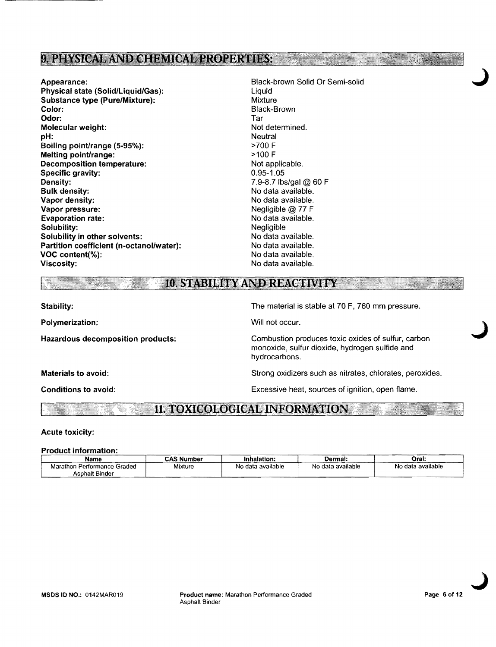## 9. PEYSICAL AND CHEMICAL PROPERTIES.

Appearance: Physical state (Solid/Liquid/Gas): Substance type (Pure/Mixture): Color: Odor: Molecular weight: pH: Boiling pOint/range (5-95%): Melting point/range: Decomposition temperature: Specific gravity: Density: Bulk density: Vapor density: Vapor pressure: Evaporation rate: Solubility: Solubility in other solvents: Partition coefficient (n-octanollwater): VOC content(%): Viscosity:

Black-brown Solid Or Semi-solid Liquid Mixture Black-Brown Tar Not determined. **Neutral** >700 F >100 F Not applicable. 0.95-1.05 7.9-8.7 Ibs/gal @ 60 F No data available. No data available. Negligible @ 77 F No data available. Negligible No data available. No data available. No data available. No data available.

## **10. STABILITY AND REACTIVITY**

Stability:

Polymerization:

Hazardous decomposition products:

The material is stable at 70 F. 760 mm pressure.

Will not occur.

Combustion produces toxic oxides of sulfur, carbon monoxide. sulfur dioxide. hydrogen sulfide and hydrocarbons.

Strong oxidizers such as nitrates. chlorates. peroxides.

Materials to avoid:

Conditions to avoid:

Excessive heat. sources of ignition. open flame.

## **11. TOXICOLOGICAL INFORMATION**

### Acute toxicity:

## Product information:

| Name                        | <b>CAS Number</b> | <b>Inhalation</b> | <b>Dermai:</b>    | Oral:             |
|-----------------------------|-------------------|-------------------|-------------------|-------------------|
| Marathon Performance Graded | Mixture           | No data available | No data available | No data available |
| Asphalt Binder              |                   |                   |                   |                   |

J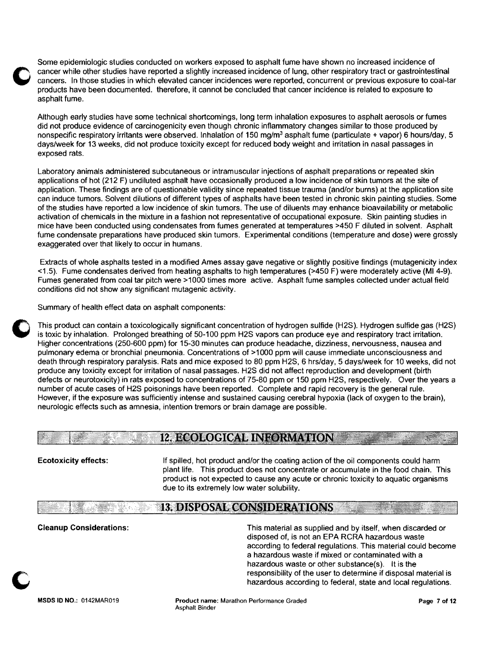Some epidemiologic studies conducted on workers exposed to asphalt fume have shown no increased incidence of cancer while other studies have reported a slightly increased incidence of lung, other respiratory tract or gastrointestinal cancers. In those studies in which elevated cancer incidences were reported, concurrent or previous exposure to coal-tar products have been documented. therefore, it cannot be concluded that cancer incidence is related to exposure to asphalt fume.

Although early studies have some technical shortcomings, long term inhalation exposures to asphalt aerosols or fumes did not produce evidence of carcinogenicity even though chronic inflammatory changes similar to those produced by nonspecific respiratory irritants were observed. Inhalation of 150 mg/m<sup>3</sup> asphalt fume (particulate + vapor) 6 hours/day, 5 days/week for 13 weeks, did not produce toxicity except for reduced body weight and irritation in nasal passages in exposed rats.

Laboratory animals administered subcutaneous or intramuscular injections of asphalt preparations or repeated skin applications of hot (212 F) undiluted asphalt have occasionally produced a low incidence of skin tumors at the site of application. These findings are of questionable validity since repeated tissue trauma (and/or burns) at the application site can induce tumors. Solvent dilutions of different types of asphalts have been tested in chronic skin painting studies. Some of the studies have reported a low incidence of skin tumors. The use of diluents may enhance bioavailability or metabolic activation of chemicals in the mixture in a fashion not representative of occupational exposure. Skin painting studies in mice have been conducted using condensates from fumes generated at temperatures >450 F diluted in solvent. Asphalt fume condensate preparations have produced skin tumors. Experimental conditions (temperature and dose) were grossly exaggerated over that likely to occur in humans.

Extracts of whole asphalts tested in a modified Ames assay gave negative or slightly positive findings (mutagenicity index <1.5). Fume condensates derived from heating asphalts to high temperatures (>450 F) were moderately active (MI 4-9). Fumes generated from coal tar pitch were >1000 times more active. Asphalt fume samples collected under actual field conditions did not show any Significant mutagenic activity.

Summary of health effect data on asphalt components:

This product can contain a toxicologically significant concentration of hydrogen sulfide (H2S). Hydrogen sulfide gas (H2S) is toxic by inhalation. Prolonged breathing of 50-100 ppm H2S vapors can produce eye and respiratory tract irritation. Higher concentrations (250-600 ppm) for 15-30 minutes can produce headache, dizziness, nervousness, nausea and pulmonary edema or bronchial pneumonia. Concentrations of >1000 ppm will cause immediate unconsciousness and death through respiratory paralysis. Rats and mice exposed to 80 ppm H2S, 6 hrs/day, 5 days/week for 10 weeks, did not produce any toxicity except for irritation of nasal passages. H2S did not affect reproduction and development (birth defects or neurotoxicity) in rats exposed to concentrations of 75-80 ppm or 150 ppm H2S, respectively. Over the years a number of acute cases of H2S poisonings have been reported. Complete and rapid recovery is the general rule. However, if the exposure was sufficiently intense and sustained causing cerebral hypoxia (lack of oxygen to the brain), neurologic effects such as amnesia, intention tremors or brain damage are possible.

## **12. ECOLOGICAL INFORMATION**

Ecotoxicity effects: If spilled, hot product and/or the coating action of the oil components could harm plant life. This product does not concentrate or accumulate in the food chain. This product is not expected to cause any acute or chronic toxicity to aquatic organisms due to its extremely low water solubility.

## **13. DISPOSAL CONSIDERATIONS**

Cleanup Considerations: **This material as supplied and by itself**, when discarded or disposed of, is not an EPA RCRA hazardous waste according to federal regulations. This material could become a hazardous waste if mixed or contaminated with a hazardous waste or other substance(s). It is the responsibility of the user to determine if disposal material is hazardous according to federal, state and local regulations.

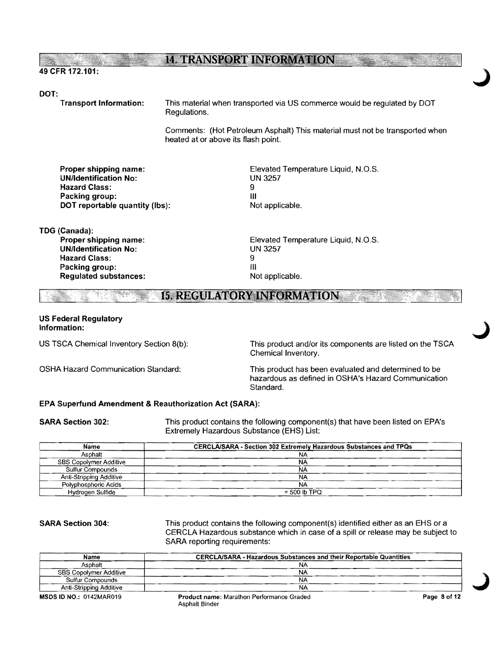## **14. TRANSPORT INFORMATION**

### 49 CFR 172.101:

### DOT:

Transport Information: This material when transported via US commerce would be regulated by DOT Regulations.

> Comments: (Hot Petroleum Asphalt) This material must not be transported when heated at or above its flash point.

| Proper shipping name:          | Ele |
|--------------------------------|-----|
| UN/Identification No:          | UN  |
| <b>Hazard Class:</b>           | g   |
| Packing group:                 | Ш   |
| DOT reportable quantity (lbs): | Nο  |

Elevated Temperature Liquid, N.O.S. UN 3257<br>9 Not applicable.

Elevated Temperature Liquid, N.O.S. LIN/Identification No: UN 3257 Hazard Class: 9 Regulated substances: Not applicable.

**15. REGULATORY INFORMATION** 96

# US Federal Regulatory och declaritogrammers<br>Information:<br>US TSCA Chamical Inventory Section 8(b): This product and/or its components are listed on the TSCA

TOG (Canada):

Packing group:

US TSCA Chemical Inventory Section 8(b): This product and/or its components are listed on the TSCA Chemical Inventory.

OSHA Hazard Communication Standard: This product has been evaluated and determined to be hazardous as defined in OSHA's Hazard Communication Standard.

#### EPA Superfund Amendment & Reauthorization Act (SARA):

SARA Section 302: This product contains the following component(s) that have been listed on EPA's Extremely Hazardous Substance (EHS) List:

| Name                          | <b>CERCLA/SARA - Section 302 Extremely Hazardous Substances and TPQs</b> |
|-------------------------------|--------------------------------------------------------------------------|
| Asphalt                       | N٨                                                                       |
| <b>SBS Copolymer Additive</b> | N۵                                                                       |
| <b>Sulfur Compounds</b>       | N٨                                                                       |
| Anti-Stripping Additive       | N۵                                                                       |
| Polyphosphoric Acids          | N٨                                                                       |
| Hydrogen Sulfide              | $= 500$ lb TPO                                                           |

SARA Section 304: This product contains the following component(s) identified either as an EHS or a CERCLA Hazardous substance which in case of a spill or release may be subject to SARA reporting requirements:

| Name                           | <b>CERCLA/SARA - Hazardous Substances and their Reportable Quantities</b> |              |  |
|--------------------------------|---------------------------------------------------------------------------|--------------|--|
| Asphalt                        |                                                                           |              |  |
| SBS Copolymer Additive         | N٨                                                                        |              |  |
| Sulfur Compounds               | NΑ                                                                        |              |  |
| Anti-Stripping Additive        | NA                                                                        |              |  |
| <b>MSDS ID NO.: 0142MAR019</b> | <b>Product name: Marathon Performance Graded</b>                          | Page 8 of 12 |  |

Asphalt Binder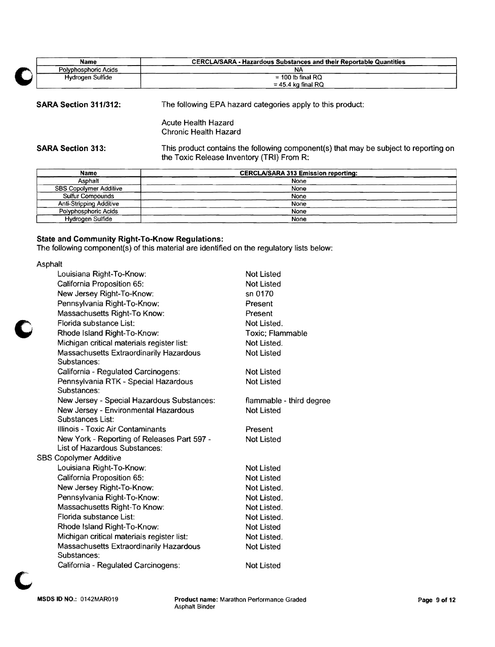| <b>Name</b>          | <b>CERCLA/SARA - Hazardous Substances and their Reportable Quantities</b> |  |
|----------------------|---------------------------------------------------------------------------|--|
| Polyphosphoric Acids | NA                                                                        |  |
| Hydrogen Sulfide     | $= 100$ lb final RQ                                                       |  |
|                      | $=$ 45.4 kg final RQ                                                      |  |

SARA Section 311/312: The following EPA hazard categories apply to this product:

Acute Health Hazard Chronic Health Hazard

SARA Section 313: This product contains the following component(s) that may be subject to reporting on the Toxic Release Inventory (TRI) From R:

| <b>Name</b>                   | <b>CERCLA/SARA 313 Emission reporting:</b> |  |
|-------------------------------|--------------------------------------------|--|
| Asphalt                       | None                                       |  |
| <b>SBS Copolymer Additive</b> | None                                       |  |
| Sulfur Compounds              | None                                       |  |
| Anti-Stripping Additive       | None                                       |  |
| Polyphosphoric Acids          | None                                       |  |
| Hydrogen Sulfide              | None                                       |  |

## State and Community Right-To-Know Regulations:

The following component(s) of this material are identified on the regulatory lists below:

### Asphalt

| Louisiana Right-To-Know:                                 | <b>Not Listed</b>        |
|----------------------------------------------------------|--------------------------|
| California Proposition 65:                               | <b>Not Listed</b>        |
| New Jersey Right-To-Know:                                | sn 0170                  |
| Pennsylvania Right-To-Know:                              | Present                  |
| Massachusetts Right-To Know:                             | Present                  |
| Florida substance List:                                  | Not Listed.              |
| Rhode Island Right-To-Know:                              | Toxic; Flammable         |
| Michigan critical materials register list:               | Not Listed.              |
| Massachusetts Extraordinarily Hazardous<br>Substances:   | <b>Not Listed</b>        |
| California - Regulated Carcinogens:                      | <b>Not Listed</b>        |
| Pennsylvania RTK - Special Hazardous                     | Not Listed               |
| Substances:                                              |                          |
| New Jersey - Special Hazardous Substances:               | flammable - third degree |
| New Jersey - Environmental Hazardous<br>Substances List: | <b>Not Listed</b>        |
| Illinois - Toxic Air Contaminants                        | Present                  |
| New York - Reporting of Releases Part 597 -              | <b>Not Listed</b>        |
| List of Hazardous Substances:                            |                          |
| <b>SBS Copolymer Additive</b>                            |                          |
| Louisiana Right-To-Know:                                 | Not Listed               |
| California Proposition 65:                               | <b>Not Listed</b>        |
| New Jersey Right-To-Know:                                | Not Listed.              |
| Pennsylvania Right-To-Know:                              | Not Listed.              |
| Massachusetts Right-To Know:                             | Not Listed.              |
| Florida substance List:                                  | Not Listed.              |
| Rhode Island Right-To-Know:                              | Not Listed               |
| Michigan critical materials register list:               | Not Listed.              |
| Massachusetts Extraordinarily Hazardous<br>Substances:   | Not Listed               |
| California - Regulated Carcinogens:                      | <b>Not Listed</b>        |
|                                                          |                          |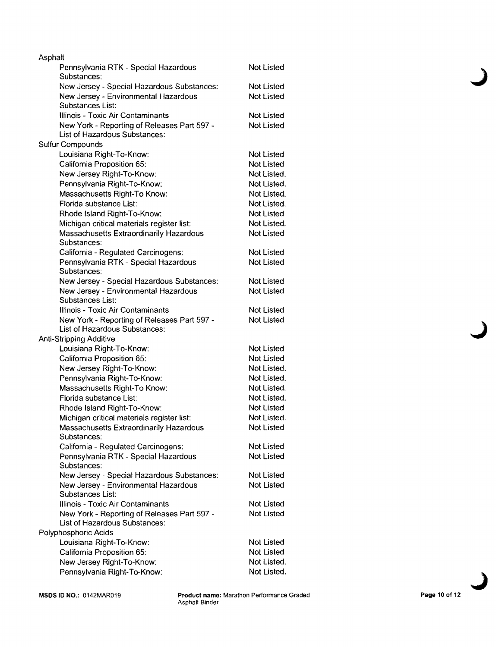| Asphalt                                             |                   |  |
|-----------------------------------------------------|-------------------|--|
| Pennsylvania RTK - Special Hazardous<br>Substances: | Not Listed        |  |
| New Jersey - Special Hazardous Substances:          | Not Listed        |  |
| New Jersey - Environmental Hazardous                | Not Listed        |  |
| <b>Substances List:</b>                             |                   |  |
| Illinois - Toxic Air Contaminants                   | Not Listed        |  |
| New York - Reporting of Releases Part 597 -         | Not Listed        |  |
| List of Hazardous Substances:                       |                   |  |
| Sulfur Compounds                                    |                   |  |
| Louisiana Right-To-Know:                            | Not Listed        |  |
| California Proposition 65:                          | <b>Not Listed</b> |  |
| New Jersey Right-To-Know:                           | Not Listed.       |  |
| Pennsylvania Right-To-Know:                         | Not Listed.       |  |
| Massachusetts Right-To Know:                        | Not Listed.       |  |
| Florida substance List:                             | Not Listed.       |  |
| Rhode Island Right-To-Know:                         | Not Listed        |  |
| Michigan critical materials register list:          | Not Listed.       |  |
| Massachusetts Extraordinarily Hazardous             | Not Listed        |  |
| Substances:                                         |                   |  |
| California - Regulated Carcinogens:                 | Not Listed        |  |
| Pennsylvania RTK - Special Hazardous                | Not Listed        |  |
| Substances:                                         |                   |  |
| New Jersey - Special Hazardous Substances:          | Not Listed        |  |
| New Jersey - Environmental Hazardous                | Not Listed        |  |
| Substances List:                                    |                   |  |
| Illinois - Toxic Air Contaminants                   | Not Listed        |  |
| New York - Reporting of Releases Part 597 -         | Not Listed        |  |
| List of Hazardous Substances:                       |                   |  |
| Anti-Stripping Additive                             |                   |  |
| Louisiana Right-To-Know:                            | Not Listed        |  |
| California Proposition 65:                          | Not Listed        |  |
| New Jersey Right-To-Know:                           | Not Listed.       |  |
| Pennsylvania Right-To-Know:                         | Not Listed.       |  |
| Massachusetts Right-To Know:                        | Not Listed.       |  |
| Florida substance List:                             | Not Listed.       |  |
| Rhode Island Right-To-Know:                         | Not Listed        |  |
| Michigan critical materials register list:          | Not Listed.       |  |
| Massachusetts Extraordinarily Hazardous             | <b>Not Listed</b> |  |
| Substances:                                         |                   |  |
| California - Regulated Carcinogens:                 | Not Listed        |  |
| Pennsylvania RTK - Special Hazardous                | Not Listed        |  |
| Substances:                                         |                   |  |
| New Jersey - Special Hazardous Substances:          | <b>Not Listed</b> |  |
| New Jersey - Environmental Hazardous                | Not Listed        |  |
| Substances List:                                    |                   |  |
| Illinois - Toxic Air Contaminants                   | Not Listed        |  |
| New York - Reporting of Releases Part 597 -         | Not Listed        |  |
| List of Hazardous Substances:                       |                   |  |
| Polyphosphoric Acids                                |                   |  |
| Louisiana Right-To-Know:                            | Not Listed        |  |
| California Proposition 65:                          | Not Listed        |  |
| New Jersey Right-To-Know:                           | Not Listed.       |  |
| Pennsylvania Right-To-Know:                         | Not Listed.       |  |
|                                                     |                   |  |
|                                                     |                   |  |

MSOS **10** NO.: 0142MAR019 Product name: Marathon Performance Graded **Page** 10 of 12 Asphalt Binder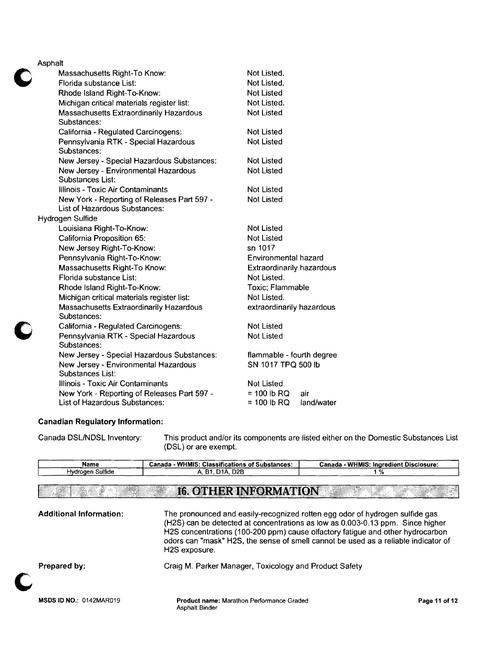### Asphalt

| Massachusetts Right-To Know:<br>Florida substance List:<br>Rhode Island Right-To-Know:<br>Michigan critical materials register list:<br>Massachusetts Extraordinarily Hazardous<br>Substances: | Not Listed.<br>Not Listed.<br><b>Not Listed</b><br>Not Listed.<br>Not Listed |                   |
|------------------------------------------------------------------------------------------------------------------------------------------------------------------------------------------------|------------------------------------------------------------------------------|-------------------|
| California - Regulated Carcinogens:<br>Pennsylvania RTK - Special Hazardous<br>Substances:                                                                                                     | Not Listed<br>Not Listed                                                     |                   |
| New Jersey - Special Hazardous Substances:<br>New Jersey - Environmental Hazardous<br>Substances List:                                                                                         | Not Listed<br><b>Not Listed</b>                                              |                   |
| Illinois - Toxic Air Contaminants<br>New York - Reporting of Releases Part 597 -<br>List of Hazardous Substances:                                                                              | Not Listed<br><b>Not Listed</b>                                              |                   |
| Hydrogen Sulfide                                                                                                                                                                               |                                                                              |                   |
| Louisiana Right-To-Know:                                                                                                                                                                       | <b>Not Listed</b>                                                            |                   |
| California Proposition 65:                                                                                                                                                                     | <b>Not Listed</b>                                                            |                   |
| New Jersey Right-To-Know:                                                                                                                                                                      | sn 1017                                                                      |                   |
| Pennsylvania Right-To-Know:                                                                                                                                                                    | Environmental hazard                                                         |                   |
| Massachusetts Right-To Know:                                                                                                                                                                   | <b>Extraordinarily hazardous</b>                                             |                   |
| Florida substance List:                                                                                                                                                                        | Not Listed.                                                                  |                   |
| Rhode Island Right-To-Know:                                                                                                                                                                    | Toxic; Flammable                                                             |                   |
| Michigan critical materials register list:                                                                                                                                                     | Not Listed.                                                                  |                   |
| Massachusetts Extraordinarily Hazardous<br>Substances:                                                                                                                                         | extraordinarily hazardous                                                    |                   |
| California - Regulated Carcinogens:                                                                                                                                                            | <b>Not Listed</b>                                                            |                   |
| Pennsylvania RTK - Special Hazardous<br>Substances:                                                                                                                                            | <b>Not Listed</b>                                                            |                   |
| New Jersey - Special Hazardous Substances:<br>New Jersey - Environmental Hazardous<br>Substances List:                                                                                         | flammable - fourth degree<br>SN 1017 TPQ 500 lb                              |                   |
| Illinois - Toxic Air Contaminants                                                                                                                                                              | <b>Not Listed</b>                                                            |                   |
| New York - Reporting of Releases Part 597 -<br>List of Hazardous Substances:                                                                                                                   | $= 100$ lb RQ<br>$= 100$ lb RQ                                               | air<br>land/water |
|                                                                                                                                                                                                |                                                                              |                   |

## Canadian Regulatory Information:

B

W.

S.

Canada DSLINDSL Inventory: This product and/or its components are listed either on the Domestic Substances List (DSL) or are exempt.

S.

37

S.

anan ya

| Name                 | . - WHMIS: Classifications of Substances:<br>Canada | <b>WHMIS.</b><br>: Inaredient Disclosure:<br>Canada |
|----------------------|-----------------------------------------------------|-----------------------------------------------------|
| Sulfide<br>Hvdrogen. | D <sub>2</sub> B<br><b>Π1Δ</b><br>B1                | $\mathbf{r}$<br>70                                  |
|                      |                                                     |                                                     |

## **16. OTHER INFORMATION**

| <b>Additional Information:</b> | The pronounced and easily-recognized rotten egg odor of hydrogen sulfide gas<br>(H2S) can be detected at concentrations as low as 0.003-0.13 ppm. Since higher<br>H2S concentrations (100-200 ppm) cause olfactory fatigue and other hydrocarbon<br>odors can "mask" H2S, the sense of smell cannot be used as a reliable indicator of<br>H <sub>2</sub> S exposure. |               |  |
|--------------------------------|----------------------------------------------------------------------------------------------------------------------------------------------------------------------------------------------------------------------------------------------------------------------------------------------------------------------------------------------------------------------|---------------|--|
| Prepared by:                   | Craig M. Parker Manager, Toxicology and Product Safety                                                                                                                                                                                                                                                                                                               |               |  |
| <b>MSDS ID NO.: 0142MAR019</b> | <b>Product name: Marathon Performance Graded</b><br>Asphalt Binder                                                                                                                                                                                                                                                                                                   | Page 11 of 12 |  |